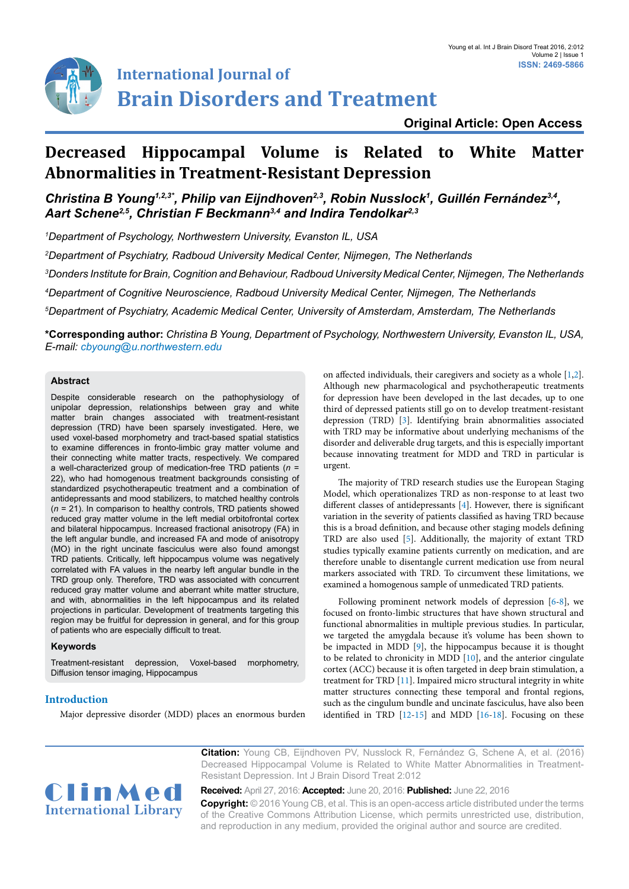

# **International Journal of Brain Disorders and Treatment**

# **Decreased Hippocampal Volume is Related to White Matter Abnormalities in Treatment-Resistant Depression**

# *Christina B Young1,2,3\*, Philip van Eijndhoven2,3, Robin Nusslock1 , Guillén Fernández3,4, Aart Schene2,5, Christian F Beckmann3,4 and Indira Tendolkar2,3*

*1 Department of Psychology, Northwestern University, Evanston IL, USA*

*2 Department of Psychiatry, Radboud University Medical Center, Nijmegen, The Netherlands*

*3 Donders Institute for Brain, Cognition and Behaviour, Radboud University Medical Center, Nijmegen, The Netherlands*

*4 Department of Cognitive Neuroscience, Radboud University Medical Center, Nijmegen, The Netherlands*

*5 Department of Psychiatry, Academic Medical Center, University of Amsterdam, Amsterdam, The Netherlands*

**\*Corresponding author:** *Christina B Young, Department of Psychology, Northwestern University, Evanston IL, USA, E-mail: cbyoung@u.northwestern.edu*

# **Abstract**

Despite considerable research on the pathophysiology of unipolar depression, relationships between gray and white matter brain changes associated with treatment-resistant depression (TRD) have been sparsely investigated. Here, we used voxel-based morphometry and tract-based spatial statistics to examine differences in fronto-limbic gray matter volume and their connecting white matter tracts, respectively. We compared a well-characterized group of medication-free TRD patients (*n* = 22), who had homogenous treatment backgrounds consisting of standardized psychotherapeutic treatment and a combination of antidepressants and mood stabilizers, to matched healthy controls (*n* = 21). In comparison to healthy controls, TRD patients showed reduced gray matter volume in the left medial orbitofrontal cortex and bilateral hippocampus. Increased fractional anisotropy (FA) in the left angular bundle, and increased FA and mode of anisotropy (MO) in the right uncinate fasciculus were also found amongst TRD patients. Critically, left hippocampus volume was negatively correlated with FA values in the nearby left angular bundle in the TRD group only. Therefore, TRD was associated with concurrent reduced gray matter volume and aberrant white matter structure, and with, abnormalities in the left hippocampus and its related projections in particular. Development of treatments targeting this region may be fruitful for depression in general, and for this group of patients who are especially difficult to treat.

# **Keywords**

Treatment-resistant depression, Voxel-based morphometry, Diffusion tensor imaging, Hippocampus

# **Introduction**

Major depressive disorder (MDD) places an enormous burden

on affected individuals, their caregivers and society as a whole [[1](#page-5-0)[,2\]](#page-4-0). Although new pharmacological and psychotherapeutic treatments for depression have been developed in the last decades, up to one third of depressed patients still go on to develop treatment-resistant depression (TRD) [[3](#page-4-1)]. Identifying brain abnormalities associated with TRD may be informative about underlying mechanisms of the disorder and deliverable drug targets, and this is especially important because innovating treatment for MDD and TRD in particular is urgent.

The majority of TRD research studies use the European Staging Model, which operationalizes TRD as non-response to at least two different classes of antidepressants [[4](#page-4-2)]. However, there is significant variation in the severity of patients classified as having TRD because this is a broad definition, and because other staging models defining TRD are also used [\[5\]](#page-4-3). Additionally, the majority of extant TRD studies typically examine patients currently on medication, and are therefore unable to disentangle current medication use from neural markers associated with TRD. To circumvent these limitations, we examined a homogenous sample of unmedicated TRD patients.

Following prominent network models of depression [\[6](#page-4-4)-[8\]](#page-5-1), we focused on fronto-limbic structures that have shown structural and functional abnormalities in multiple previous studies. In particular, we targeted the amygdala because it's volume has been shown to be impacted in MDD [\[9](#page-5-2)], the hippocampus because it is thought to be related to chronicity in MDD [\[10](#page-5-3)], and the anterior cingulate cortex (ACC) because it is often targeted in deep brain stimulation, a treatment for TRD [[11\]](#page-5-4). Impaired micro structural integrity in white matter structures connecting these temporal and frontal regions, such as the cingulum bundle and uncinate fasciculus, have also been identified in TRD [[12](#page-5-5)-[15](#page-5-6)] and MDD [\[16](#page-5-7)[-18\]](#page-5-8). Focusing on these



**Citation:** Young CB, Eijndhoven PV, Nusslock R, Fernández G, Schene A, et al. (2016) Decreased Hippocampal Volume is Related to White Matter Abnormalities in Treatment-Resistant Depression. Int J Brain Disord Treat 2:012

**Received:** April 27, 2016: **Accepted:** June 20, 2016: **Published:** June 22, 2016 **Copyright:** © 2016 Young CB, et al. This is an open-access article distributed under the terms of the Creative Commons Attribution License, which permits unrestricted use, distribution, and reproduction in any medium, provided the original author and source are credited.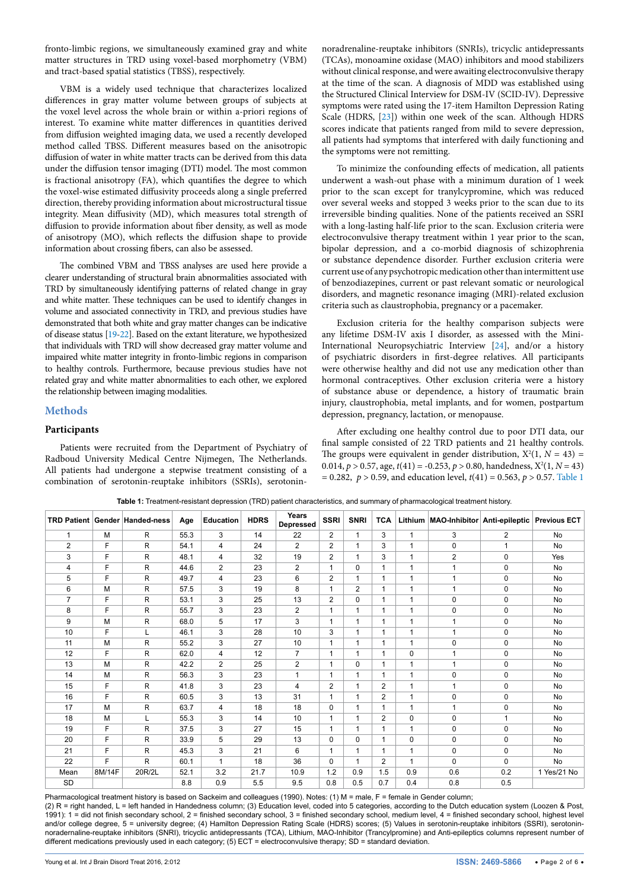fronto-limbic regions, we simultaneously examined gray and white matter structures in TRD using voxel-based morphometry (VBM) and tract-based spatial statistics (TBSS), respectively.

VBM is a widely used technique that characterizes localized differences in gray matter volume between groups of subjects at the voxel level across the whole brain or within a-priori regions of interest. To examine white matter differences in quantities derived from diffusion weighted imaging data, we used a recently developed method called TBSS. Different measures based on the anisotropic diffusion of water in white matter tracts can be derived from this data under the diffusion tensor imaging (DTI) model. The most common is fractional anisotropy (FA), which quantifies the degree to which the voxel-wise estimated diffusivity proceeds along a single preferred direction, thereby providing information about microstructural tissue integrity. Mean diffusivity (MD), which measures total strength of diffusion to provide information about fiber density, as well as mode of anisotropy (MO), which reflects the diffusion shape to provide information about crossing fibers, can also be assessed.

The combined VBM and TBSS analyses are used here provide a clearer understanding of structural brain abnormalities associated with TRD by simultaneously identifying patterns of related change in gray and white matter. These techniques can be used to identify changes in volume and associated connectivity in TRD, and previous studies have demonstrated that both white and gray matter changes can be indicative of disease status [\[19-](#page-5-9)[22\]](#page-5-10). Based on the extant literature, we hypothesized that individuals with TRD will show decreased gray matter volume and impaired white matter integrity in fronto-limbic regions in comparison to healthy controls. Furthermore, because previous studies have not related gray and white matter abnormalities to each other, we explored the relationship between imaging modalities.

# **Methods**

# **Participants**

Patients were recruited from the Department of Psychiatry of Radboud University Medical Centre Nijmegen, The Netherlands. All patients had undergone a stepwise treatment consisting of a combination of serotonin-reuptake inhibitors (SSRIs), serotoninnoradrenaline-reuptake inhibitors (SNRIs), tricyclic antidepressants (TCAs), monoamine oxidase (MAO) inhibitors and mood stabilizers without clinical response, and were awaiting electroconvulsive therapy at the time of the scan. A diagnosis of MDD was established using the Structured Clinical Interview for DSM-IV (SCID-IV). Depressive symptoms were rated using the 17-item Hamilton Depression Rating Scale (HDRS, [\[23](#page-5-11)]) within one week of the scan. Although HDRS scores indicate that patients ranged from mild to severe depression, all patients had symptoms that interfered with daily functioning and the symptoms were not remitting.

To minimize the confounding effects of medication, all patients underwent a wash-out phase with a minimum duration of 1 week prior to the scan except for tranylcypromine, which was reduced over several weeks and stopped 3 weeks prior to the scan due to its irreversible binding qualities. None of the patients received an SSRI with a long-lasting half-life prior to the scan. Exclusion criteria were electroconvulsive therapy treatment within 1 year prior to the scan, bipolar depression, and a co-morbid diagnosis of schizophrenia or substance dependence disorder. Further exclusion criteria were current use of any psychotropic medication other than intermittent use of benzodiazepines, current or past relevant somatic or neurological disorders, and magnetic resonance imaging (MRI)-related exclusion criteria such as claustrophobia, pregnancy or a pacemaker.

Exclusion criteria for the healthy comparison subjects were any lifetime DSM-IV axis I disorder, as assessed with the Mini-International Neuropsychiatric Interview [\[24](#page-5-12)], and/or a history of psychiatric disorders in first-degree relatives. All participants were otherwise healthy and did not use any medication other than hormonal contraceptives. Other exclusion criteria were a history of substance abuse or dependence, a history of traumatic brain injury, claustrophobia, metal implants, and for women, postpartum depression, pregnancy, lactation, or menopause.

After excluding one healthy control due to poor DTI data, our final sample consisted of 22 TRD patients and 21 healthy controls. The groups were equivalent in gender distribution,  $X^2(1, N = 43) =$ 0.014,  $p > 0.57$ , age,  $t(41) = -0.253$ ,  $p > 0.80$ , handedness,  $X^2(1, N = 43)$  $= 0.282, p > 0.59$ , and education level,  $t(41) = 0.563, p > 0.57$ . [Table 1](#page-1-0)

|                |        | <b>TRD Patient Gender Handed-ness</b> | Age  | <b>Education</b> | <b>HDRS</b> | Years<br><b>Depressed</b> | <b>SSRI</b>              | <b>SNRI</b>    | <b>TCA</b>     |                          | Lithium MAO-Inhibitor Anti-epileptic |                | <b>Previous ECT</b> |
|----------------|--------|---------------------------------------|------|------------------|-------------|---------------------------|--------------------------|----------------|----------------|--------------------------|--------------------------------------|----------------|---------------------|
| 1              | M      | $\mathsf{R}$                          | 55.3 | 3                | 14          | 22                        | $\overline{2}$           | $\mathbf{1}$   | 3              | 1                        | 3                                    | $\overline{2}$ | <b>No</b>           |
| $\overline{2}$ | F      | $\mathsf{R}$                          | 54.1 | 4                | 24          | $\overline{2}$            | $\overline{2}$           | 1              | 3              | 1                        | 0                                    |                | <b>No</b>           |
| 3              | F      | R                                     | 48.1 | 4                | 32          | 19                        | $\overline{2}$           | $\mathbf{1}$   | 3              | 1                        | $\overline{2}$                       | $\mathbf 0$    | Yes                 |
| 4              | F      | R                                     | 44.6 | 2                | 23          | $\overline{2}$            | 1                        | $\Omega$       | 1              | 1                        | 1                                    | 0              | No                  |
| 5              | F      | $\mathsf{R}$                          | 49.7 | 4                | 23          | 6                         | $\overline{2}$           | 1              |                | 1                        | 1                                    | 0              | <b>No</b>           |
| 6              | M      | $\mathsf{R}$                          | 57.5 | 3                | 19          | 8                         | 1                        | $\overline{2}$ | 1              | 1                        | 1                                    | $\mathbf 0$    | <b>No</b>           |
| $\overline{7}$ | F      | R                                     | 53.1 | 3                | 25          | 13                        | $\overline{2}$           | $\mathbf 0$    | 1              | $\overline{\phantom{a}}$ | $\mathbf{0}$                         | $\pmb{0}$      | <b>No</b>           |
| 8              | F      | R.                                    | 55.7 | 3                | 23          | $\overline{2}$            | 1                        | 1              | 1              | 1                        | $\mathbf 0$                          | $\mathbf 0$    | <b>No</b>           |
| 9              | M      | R                                     | 68.0 | 5                | 17          | 3                         | 1                        | 1              |                | 1                        | 1                                    | $\pmb{0}$      | <b>No</b>           |
| 10             | F      | L                                     | 46.1 | 3                | 28          | 10                        | 3                        | 1              | 1              | 1                        | 1                                    | $\mathbf 0$    | <b>No</b>           |
| 11             | M      | R                                     | 55.2 | 3                | 27          | 10                        | 1                        | 1              | 1              | 1                        | $\mathbf 0$                          | $\mathbf 0$    | <b>No</b>           |
| 12             | F      | $\mathsf{R}$                          | 62.0 | 4                | 12          | $\overline{7}$            | 1                        | 1              |                | $\Omega$                 | 1                                    | 0              | <b>No</b>           |
| 13             | M      | $\mathsf{R}$                          | 42.2 | $\overline{2}$   | 25          | $\overline{2}$            | 1                        | $\Omega$       |                | 1                        | 1                                    | 0              | <b>No</b>           |
| 14             | M      | $\mathsf{R}$                          | 56.3 | 3                | 23          | 1                         | 1                        | 1              |                | 1                        | 0                                    | $\mathbf 0$    | <b>No</b>           |
| 15             | F      | R                                     | 41.8 | 3                | 23          | 4                         | $\overline{2}$           | 1              | $\overline{c}$ | 1                        | 1                                    | $\pmb{0}$      | <b>No</b>           |
| 16             | F      | $\mathsf{R}$                          | 60.5 | 3                | 13          | 31                        | 1                        | 1              | $\overline{2}$ | 1                        | $\mathbf 0$                          | $\mathbf 0$    | <b>No</b>           |
| 17             | M      | R                                     | 63.7 | 4                | 18          | 18                        | $\mathbf 0$              | 1              | 1              | 1                        | 1                                    | $\mathbf 0$    | <b>No</b>           |
| 18             | M      | L                                     | 55.3 | 3                | 14          | 10                        | 1                        | 1              | $\overline{2}$ | $\Omega$                 | 0                                    | 1              | <b>No</b>           |
| 19             | F      | R                                     | 37.5 | 3                | 27          | 15                        | 1                        | 1              | 1              | 1                        | 0                                    | $\mathbf 0$    | <b>No</b>           |
| 20             | F      | $\mathsf{R}$                          | 33.9 | 5                | 29          | 13                        | $\Omega$                 | 0              |                | $\mathbf 0$              | $\mathbf 0$                          | $\pmb{0}$      | <b>No</b>           |
| 21             | F      | R.                                    | 45.3 | 3                | 21          | 6                         | $\overline{\phantom{a}}$ | 1              | 1              | 1                        | $\mathbf{0}$                         | $\mathbf 0$    | No                  |
| 22             | F      | R                                     | 60.1 | 1                | 18          | 36                        | $\Omega$                 | 1              | $\overline{2}$ | 1                        | $\Omega$                             | 0              | <b>No</b>           |
| Mean           | 8M/14F | 20R/2L                                | 52.1 | 3.2              | 21.7        | 10.9                      | 1.2                      | 0.9            | 1.5            | 0.9                      | 0.6                                  | 0.2            | 1 Yes/21 No         |
| <b>SD</b>      |        |                                       | 8.8  | 0.9              | 5.5         | 9.5                       | 0.8                      | 0.5            | 0.7            | 0.4                      | 0.8                                  | 0.5            |                     |

<span id="page-1-0"></span>**Table 1:** Treatment-resistant depression (TRD) patient characteristics, and summary of pharmacological treatment history.

Pharmacological treatment history is based on Sackeim and colleagues (1990). Notes: (1) M = male, F = female in Gender column;

(2) R = right handed, L = left handed in Handedness column; (3) Education level, coded into 5 categories, according to the Dutch education system (Loozen & Post, 1991): 1 = did not finish secondary school, 2 = finished secondary school, 3 = finished secondary school, medium level, 4 = finished secondary school, highest level and/or college degree, 5 = university degree; (4) Hamilton Depression Rating Scale (HDRS) scores; (5) Values in serotonin-reuptake inhibitors (SSRI), serotoninnoradernaline-reuptake inhibitors (SNRI), tricyclic antidepressants (TCA), Lithium, MAO-Inhibitor (Trancylpromine) and Anti-epileptics columns represent number of different medications previously used in each category; (5) ECT = electroconvulsive therapy; SD = standard deviation.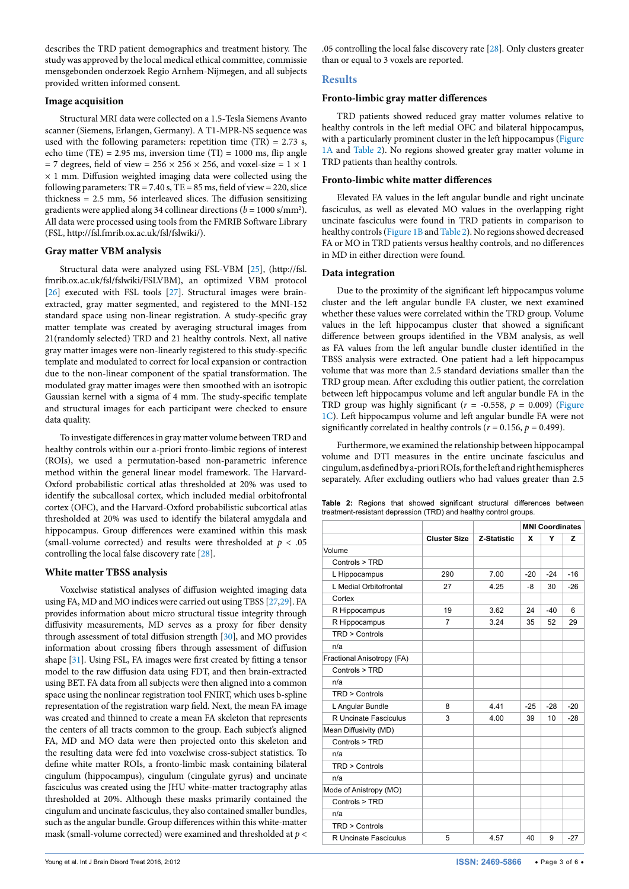describes the TRD patient demographics and treatment history. The study was approved by the local medical ethical committee, commissie mensgebonden onderzoek Regio Arnhem-Nijmegen, and all subjects provided written informed consent.

# **Image acquisition**

Structural MRI data were collected on a 1.5-Tesla Siemens Avanto scanner (Siemens, Erlangen, Germany). A T1-MPR-NS sequence was used with the following parameters: repetition time  $(TR) = 2.73$  s, echo time (TE) = 2.95 ms, inversion time (TI) = 1000 ms, flip angle = 7 degrees, field of view =  $256 \times 256 \times 256$ , and voxel-size =  $1 \times 1$  $\times$  1 mm. Diffusion weighted imaging data were collected using the following parameters:  $TR = 7.40$  s,  $TE = 85$  ms, field of view = 220, slice thickness = 2.5 mm, 56 interleaved slices. The diffusion sensitizing gradients were applied along 34 collinear directions ( $b = 1000 \text{ s/mm}^2$ ). All data were processed using tools from the FMRIB Software Library (FSL,<http://fsl.fmrib.ox.ac.uk/fsl/fslwiki/>).

# **Gray matter VBM analysis**

Structural data were analyzed using FSL-VBM [\[25\]](#page-5-13), ([http://fsl.](http://fsl.fmrib.ox.ac.uk/fsl/fslwiki/FSLVBM) [fmrib.ox.ac.uk/fsl/fslwiki/FSLVBM](http://fsl.fmrib.ox.ac.uk/fsl/fslwiki/FSLVBM)), an optimized VBM protocol [[26](#page-5-14)] executed with FSL tools [\[27\]](#page-5-15). Structural images were brainextracted, gray matter segmented, and registered to the MNI-152 standard space using non-linear registration. A study-specific gray matter template was created by averaging structural images from 21(randomly selected) TRD and 21 healthy controls. Next, all native gray matter images were non-linearly registered to this study-specific template and modulated to correct for local expansion or contraction due to the non-linear component of the spatial transformation. The modulated gray matter images were then smoothed with an isotropic Gaussian kernel with a sigma of 4 mm. The study-specific template and structural images for each participant were checked to ensure data quality.

To investigate differences in gray matter volume between TRD and healthy controls within our a-priori fronto-limbic regions of interest (ROIs), we used a permutation-based non-parametric inference method within the general linear model framework. The Harvard-Oxford probabilistic cortical atlas thresholded at 20% was used to identify the subcallosal cortex, which included medial orbitofrontal cortex (OFC), and the Harvard-Oxford probabilistic subcortical atlas thresholded at 20% was used to identify the bilateral amygdala and hippocampus. Group differences were examined within this mask (small-volume corrected) and results were thresholded at *p* < .05 controlling the local false discovery rate [\[28\]](#page-5-16).

# **White matter TBSS analysis**

Voxelwise statistical analyses of diffusion weighted imaging data using FA, MD and MO indices were carried out using TBSS [[27](#page-5-15)[,29\]](#page-5-17). FA provides information about micro structural tissue integrity through diffusivity measurements, MD serves as a proxy for fiber density through assessment of total diffusion strength [[30](#page-5-18)], and MO provides information about crossing fibers through assessment of diffusion shape [\[31\]](#page-5-19). Using FSL, FA images were first created by fitting a tensor model to the raw diffusion data using FDT, and then brain-extracted using BET. FA data from all subjects were then aligned into a common space using the nonlinear registration tool FNIRT, which uses b-spline representation of the registration warp field. Next, the mean FA image was created and thinned to create a mean FA skeleton that represents the centers of all tracts common to the group. Each subject's aligned FA, MD and MO data were then projected onto this skeleton and the resulting data were fed into voxelwise cross-subject statistics. To define white matter ROIs, a fronto-limbic mask containing bilateral cingulum (hippocampus), cingulum (cingulate gyrus) and uncinate fasciculus was created using the JHU white-matter tractography atlas thresholded at 20%. Although these masks primarily contained the cingulum and uncinate fasciculus, they also contained smaller bundles, such as the angular bundle. Group differences within this white-matter mask (small-volume corrected) were examined and thresholded at *p* <

.05 controlling the local false discovery rate [[28](#page-5-16)]. Only clusters greater than or equal to 3 voxels are reported.

# **Results**

# **Fronto-limbic gray matter differences**

TRD patients showed reduced gray matter volumes relative to healthy controls in the left medial OFC and bilateral hippocampus, with a particularly prominent cluster in the left hippocampus ([Figure](#page-3-0)  [1A](#page-3-0) and [Table 2](#page-2-0)). No regions showed greater gray matter volume in TRD patients than healthy controls.

# **Fronto-limbic white matter differences**

Elevated FA values in the left angular bundle and right uncinate fasciculus, as well as elevated MO values in the overlapping right uncinate fasciculus were found in TRD patients in comparison to healthy controls [\(Figure 1B](#page-3-0) and [Table 2\)](#page-2-0). No regions showed decreased FA or MO in TRD patients versus healthy controls, and no differences in MD in either direction were found.

# **Data integration**

Due to the proximity of the significant left hippocampus volume cluster and the left angular bundle FA cluster, we next examined whether these values were correlated within the TRD group. Volume values in the left hippocampus cluster that showed a significant difference between groups identified in the VBM analysis, as well as FA values from the left angular bundle cluster identified in the TBSS analysis were extracted. One patient had a left hippocampus volume that was more than 2.5 standard deviations smaller than the TRD group mean. After excluding this outlier patient, the correlation between left hippocampus volume and left angular bundle FA in the TRD group was highly significant ( $r = -0.558$ ,  $p = 0.009$ ) (Figure [1C](#page-3-0)). Left hippocampus volume and left angular bundle FA were not significantly correlated in healthy controls  $(r = 0.156, p = 0.499)$ .

Furthermore, we examined the relationship between hippocampal volume and DTI measures in the entire uncinate fasciculus and cingulum, as defined by a-priori ROIs, for the left and right hemispheres separately. After excluding outliers who had values greater than 2.5

<span id="page-2-0"></span>

|                                                                  |  |  |  |  |  |  | <b>Table 2:</b> Regions that showed significant structural differences between |  |
|------------------------------------------------------------------|--|--|--|--|--|--|--------------------------------------------------------------------------------|--|
| treatment-resistant depression (TRD) and healthy control groups. |  |  |  |  |  |  |                                                                                |  |

|                            |                     |             | <b>MNI Coordinates</b> |       |       |  |
|----------------------------|---------------------|-------------|------------------------|-------|-------|--|
|                            | <b>Cluster Size</b> | Z-Statistic | x                      | Y     | z     |  |
| Volume                     |                     |             |                        |       |       |  |
| Controls > TRD             |                     |             |                        |       |       |  |
| L Hippocampus              | 290                 | 7.00        | $-20$                  | $-24$ | $-16$ |  |
| L Medial Orbitofrontal     | 27                  | 4.25        | -8                     | 30    | $-26$ |  |
| Cortex                     |                     |             |                        |       |       |  |
| R Hippocampus              | 19                  | 3.62        | 24                     | $-40$ | 6     |  |
| R Hippocampus              | $\overline{7}$      | 3.24        | 35                     | 52    | 29    |  |
| $TRD >$ Controls           |                     |             |                        |       |       |  |
| n/a                        |                     |             |                        |       |       |  |
| Fractional Anisotropy (FA) |                     |             |                        |       |       |  |
| Controls > TRD             |                     |             |                        |       |       |  |
| n/a                        |                     |             |                        |       |       |  |
| $TRD >$ Controls           |                     |             |                        |       |       |  |
| L Angular Bundle           | 8                   | 4.41        | $-25$                  | $-28$ | $-20$ |  |
| R Uncinate Fasciculus      | 3                   | 4.00        | 39                     | 10    | $-28$ |  |
| Mean Diffusivity (MD)      |                     |             |                        |       |       |  |
| Controls > TRD             |                     |             |                        |       |       |  |
| n/a                        |                     |             |                        |       |       |  |
| $TRD >$ Controls           |                     |             |                        |       |       |  |
| n/a                        |                     |             |                        |       |       |  |
| Mode of Anistropy (MO)     |                     |             |                        |       |       |  |
| Controls > TRD             |                     |             |                        |       |       |  |
| n/a                        |                     |             |                        |       |       |  |
| TRD > Controls             |                     |             |                        |       |       |  |
| R Uncinate Fasciculus      | 5                   | 4.57        | 40                     | 9     | $-27$ |  |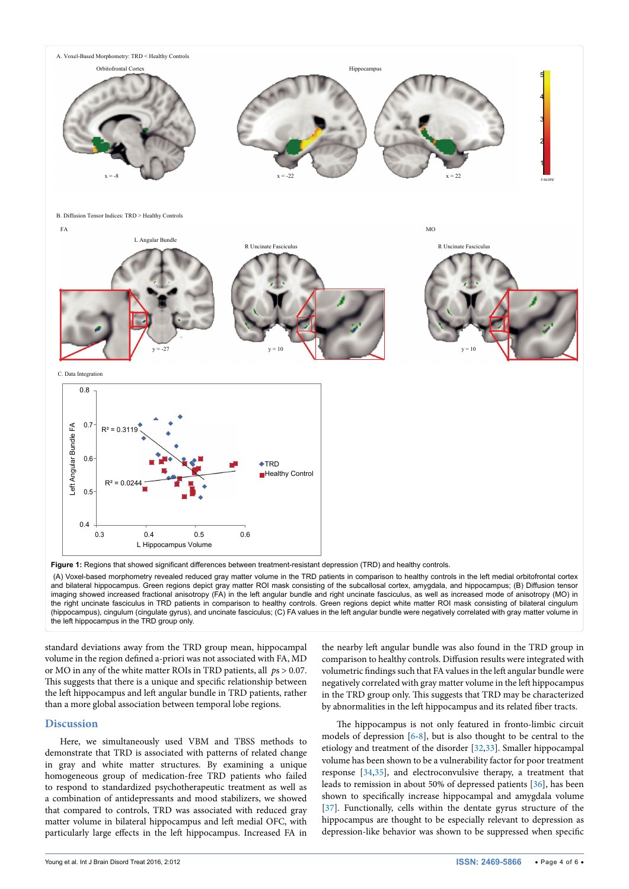<span id="page-3-0"></span>

(A) Voxel-based morphometry revealed reduced gray matter volume in the TRD patients in comparison to healthy controls in the left medial orbitofrontal cortex and bilateral hippocampus. Green regions depict gray matter ROI mask consisting of the subcallosal cortex, amygdala, and hippocampus; (B) Diffusion tensor imaging showed increased fractional anisotropy (FA) in the left angular bundle and right uncinate fasciculus, as well as increased mode of anisotropy (MO) in the right uncinate fasciculus in TRD patients in comparison to healthy controls. Green regions depict white matter ROI mask consisting of bilateral cingulum (hippocampus), cingulum (cingulate gyrus), and uncinate fasciculus; (C) FA values in the left angular bundle were negatively correlated with gray matter volume in the left hippocampus in the TRD group only.

standard deviations away from the TRD group mean, hippocampal volume in the region defined a-priori was not associated with FA, MD or MO in any of the white matter ROIs in TRD patients, all *p*s > 0.07. This suggests that there is a unique and specific relationship between the left hippocampus and left angular bundle in TRD patients, rather than a more global association between temporal lobe regions.

# **Discussion**

Here, we simultaneously used VBM and TBSS methods to demonstrate that TRD is associated with patterns of related change in gray and white matter structures. By examining a unique homogeneous group of medication-free TRD patients who failed to respond to standardized psychotherapeutic treatment as well as a combination of antidepressants and mood stabilizers, we showed that compared to controls, TRD was associated with reduced gray matter volume in bilateral hippocampus and left medial OFC, with particularly large effects in the left hippocampus. Increased FA in

the nearby left angular bundle was also found in the TRD group in comparison to healthy controls. Diffusion results were integrated with volumetric findings such that FA values in the left angular bundle were negatively correlated with gray matter volume in the left hippocampus in the TRD group only. This suggests that TRD may be characterized by abnormalities in the left hippocampus and its related fiber tracts.

The hippocampus is not only featured in fronto-limbic circuit models of depression [[6](#page-4-4)[-8\]](#page-5-1), but is also thought to be central to the etiology and treatment of the disorder [[32,](#page-5-20)[33](#page-5-21)]. Smaller hippocampal volume has been shown to be a vulnerability factor for poor treatment response [[34,](#page-5-22)[35](#page-5-23)], and electroconvulsive therapy, a treatment that leads to remission in about 50% of depressed patients [[36](#page-5-24)], has been shown to specifically increase hippocampal and amygdala volume [[37](#page-5-25)]. Functionally, cells within the dentate gyrus structure of the hippocampus are thought to be especially relevant to depression as depression-like behavior was shown to be suppressed when specific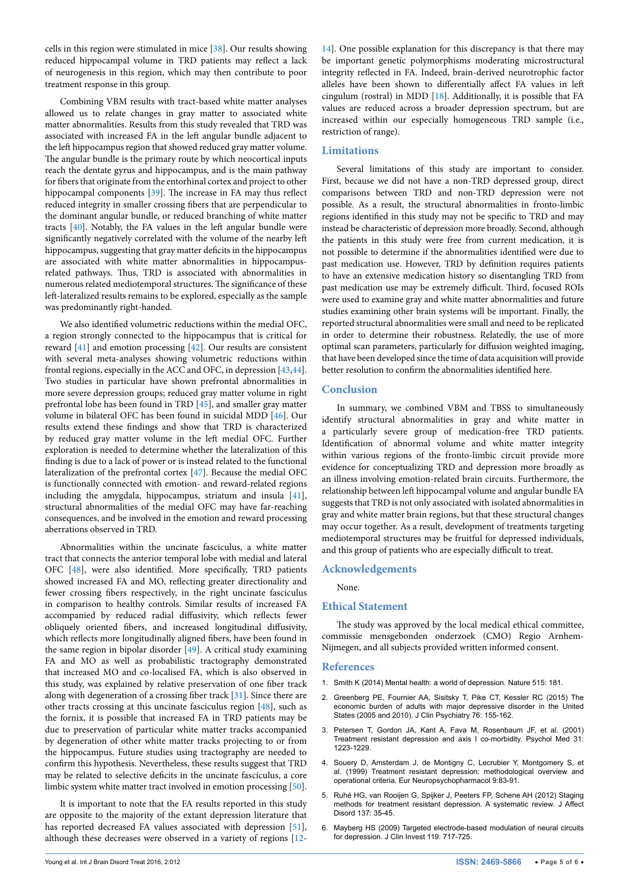cells in this region were stimulated in mice [[38](#page-5-26)]. Our results showing reduced hippocampal volume in TRD patients may reflect a lack of neurogenesis in this region, which may then contribute to poor treatment response in this group.

Combining VBM results with tract-based white matter analyses allowed us to relate changes in gray matter to associated white matter abnormalities. Results from this study revealed that TRD was associated with increased FA in the left angular bundle adjacent to the left hippocampus region that showed reduced gray matter volume. The angular bundle is the primary route by which neocortical inputs reach the dentate gyrus and hippocampus, and is the main pathway for fibers that originate from the entorhinal cortex and project to other hippocampal components [[39\]](#page-5-27). The increase in FA may thus reflect reduced integrity in smaller crossing fibers that are perpendicular to the dominant angular bundle, or reduced branching of white matter tracts [\[40\]](#page-5-28). Notably, the FA values in the left angular bundle were significantly negatively correlated with the volume of the nearby left hippocampus, suggesting that gray matter deficits in the hippocampus are associated with white matter abnormalities in hippocampusrelated pathways. Thus, TRD is associated with abnormalities in numerous related mediotemporal structures. The significance of these left-lateralized results remains to be explored, especially as the sample was predominantly right-handed.

We also identified volumetric reductions within the medial OFC, a region strongly connected to the hippocampus that is critical for reward [\[41](#page-5-29)] and emotion processing [[42](#page-5-30)]. Our results are consistent with several meta-analyses showing volumetric reductions within frontal regions, especially in the ACC and OFC, in depression [\[43,](#page-5-31)[44](#page-5-32)]. Two studies in particular have shown prefrontal abnormalities in more severe depression groups; reduced gray matter volume in right prefrontal lobe has been found in TRD [[45](#page-5-33)], and smaller gray matter volume in bilateral OFC has been found in suicidal MDD [\[46\]](#page-5-34). Our results extend these findings and show that TRD is characterized by reduced gray matter volume in the left medial OFC. Further exploration is needed to determine whether the lateralization of this finding is due to a lack of power or is instead related to the functional lateralization of the prefrontal cortex [\[47\]](#page-5-35). Because the medial OFC is functionally connected with emotion- and reward-related regions including the amygdala, hippocampus, striatum and insula [[41](#page-5-29)], structural abnormalities of the medial OFC may have far-reaching consequences, and be involved in the emotion and reward processing aberrations observed in TRD.

Abnormalities within the uncinate fasciculus, a white matter tract that connects the anterior temporal lobe with medial and lateral OFC [[48\]](#page-5-36), were also identified. More specifically, TRD patients showed increased FA and MO, reflecting greater directionality and fewer crossing fibers respectively, in the right uncinate fasciculus in comparison to healthy controls. Similar results of increased FA accompanied by reduced radial diffusivity, which reflects fewer obliquely oriented fibers, and increased longitudinal diffusivity, which reflects more longitudinally aligned fibers, have been found in the same region in bipolar disorder [\[49](#page-5-37)]. A critical study examining FA and MO as well as probabilistic tractography demonstrated that increased MO and co-localised FA, which is also observed in this study, was explained by relative preservation of one fiber track along with degeneration of a crossing fiber track [[31](#page-5-19)]. Since there are other tracts crossing at this uncinate fasciculus region [\[48\]](#page-5-36), such as the fornix, it is possible that increased FA in TRD patients may be due to preservation of particular white matter tracks accompanied by degeneration of other white matter tracks projecting to or from the hippocampus. Future studies using tractography are needed to confirm this hypothesis. Nevertheless, these results suggest that TRD may be related to selective deficits in the uncinate fasciculus, a core limbic system white matter tract involved in emotion processing [[50](#page-5-38)].

It is important to note that the FA results reported in this study are opposite to the majority of the extant depression literature that has reported decreased FA values associated with depression [[51](#page-5-39)], although these decreases were observed in a variety of regions [[12](#page-5-5)-

[14](#page-5-40)]. One possible explanation for this discrepancy is that there may be important genetic polymorphisms moderating microstructural integrity reflected in FA. Indeed, brain-derived neurotrophic factor alleles have been shown to differentially affect FA values in left cingulum (rostral) in MDD [[18](#page-5-8)]. Additionally, it is possible that FA values are reduced across a broader depression spectrum, but are increased within our especially homogeneous TRD sample (i.e., restriction of range).

#### **Limitations**

Several limitations of this study are important to consider. First, because we did not have a non-TRD depressed group, direct comparisons between TRD and non-TRD depression were not possible. As a result, the structural abnormalities in fronto-limbic regions identified in this study may not be specific to TRD and may instead be characteristic of depression more broadly. Second, although the patients in this study were free from current medication, it is not possible to determine if the abnormalities identified were due to past medication use. However, TRD by definition requires patients to have an extensive medication history so disentangling TRD from past medication use may be extremely difficult. Third, focused ROIs were used to examine gray and white matter abnormalities and future studies examining other brain systems will be important. Finally, the reported structural abnormalities were small and need to be replicated in order to determine their robustness. Relatedly, the use of more optimal scan parameters, particularly for diffusion weighted imaging, that have been developed since the time of data acquisition will provide better resolution to confirm the abnormalities identified here.

#### **Conclusion**

In summary, we combined VBM and TBSS to simultaneously identify structural abnormalities in gray and white matter in a particularly severe group of medication-free TRD patients. Identification of abnormal volume and white matter integrity within various regions of the fronto-limbic circuit provide more evidence for conceptualizing TRD and depression more broadly as an illness involving emotion-related brain circuits. Furthermore, the relationship between left hippocampal volume and angular bundle FA suggests that TRD is not only associated with isolated abnormalities in gray and white matter brain regions, but that these structural changes may occur together. As a result, development of treatments targeting mediotemporal structures may be fruitful for depressed individuals, and this group of patients who are especially difficult to treat.

#### **Acknowledgements**

None.

#### **Ethical Statement**

The study was approved by the local medical ethical committee, commissie mensgebonden onderzoek (CMO) Regio Arnhem-Nijmegen, and all subjects provided written informed consent.

#### **References**

- 1. [Smith K \(2014\) Mental health: a world of depression. Nature 515: 181.](http://www.ncbi.nlm.nih.gov/pubmed/25391942)
- <span id="page-4-0"></span>2. [Greenberg PE, Fournier AA, Sisitsky T, Pike CT, Kessler RC \(2015\) The](http://www.ncbi.nlm.nih.gov/pubmed/25742202)  [economic burden of adults with major depressive disorder in the United](http://www.ncbi.nlm.nih.gov/pubmed/25742202)  [States \(2005 and 2010\). J Clin Psychiatry 76: 155-162.](http://www.ncbi.nlm.nih.gov/pubmed/25742202)
- <span id="page-4-1"></span>3. [Petersen T, Gordon JA, Kant A, Fava M, Rosenbaum JF, et al. \(2001\)](http://www.ncbi.nlm.nih.gov/pubmed/11681548)  [Treatment resistant depression and axis I co-morbidity. Psychol Med 31:](http://www.ncbi.nlm.nih.gov/pubmed/11681548)  [1223-1229.](http://www.ncbi.nlm.nih.gov/pubmed/11681548)
- <span id="page-4-2"></span>4. [Souery D, Amsterdam J, de Montigny C, Lecrubier Y, Montgomery S, et](http://www.ncbi.nlm.nih.gov/pubmed/10082232)  [al. \(1999\) Treatment resistant depression: methodological overview and](http://www.ncbi.nlm.nih.gov/pubmed/10082232)  [operational criteria. Eur Neuropsychopharmacol 9:83-91.](http://www.ncbi.nlm.nih.gov/pubmed/10082232)
- <span id="page-4-3"></span>5. [Ruhé HG, van Rooijen G, Spijker J, Peeters FP, Schene AH \(2012\) Staging](http://www.ncbi.nlm.nih.gov/pubmed/21435727)  [methods for treatment resistant depression. A systematic review. J Affect](http://www.ncbi.nlm.nih.gov/pubmed/21435727)  [Disord 137: 35-45.](http://www.ncbi.nlm.nih.gov/pubmed/21435727)
- <span id="page-4-4"></span>6. [Mayberg HS \(2009\) Targeted electrode-based modulation of neural circuits](http://www.ncbi.nlm.nih.gov/pubmed/19339763)  [for depression. J Clin Invest 119: 717-725.](http://www.ncbi.nlm.nih.gov/pubmed/19339763)